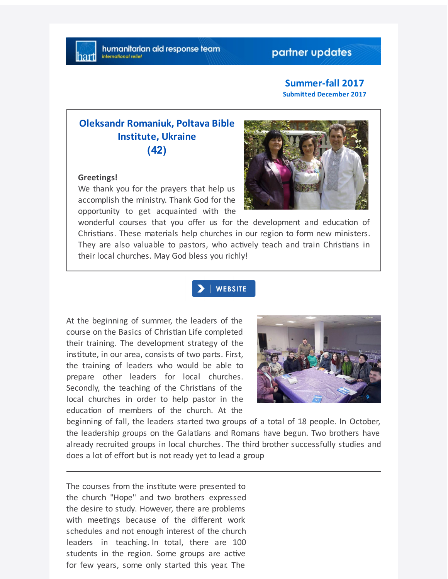# partner updates

### **Summer-fall 2017 Submitted December 2017**

# **Oleksandr Romaniuk, Poltava Bible Institute, Ukraine (42)**

### **Greetings!**

We thank you for the prayers that help us accomplish the ministry. Thank God for the opportunity to get acquainted with the



wonderful courses that you offer us for the development and education of Christians. These materials help churches in our region to form new ministers. They are also valuable to pastors, who actively teach and train Christians in their local churches. May God bless you richly!

## **WEBSITE**

At the beginning of summer, the leaders of the course on the Basics of Christian Life completed their training. The development strategy of the institute, in our area, consists of two parts. First, the training of leaders who would be able to prepare other leaders for local churches. Secondly, the teaching of the Christians of the local churches in order to help pastor in the education of members of the church. At the



beginning of fall, the leaders started two groups of a total of 18 people. In October, the leadership groups on the Galatians and Romans have begun. Two brothers have already recruited groups in local churches. The third brother successfully studies and does a lot of effort but is not ready yet to lead a group

The courses from the institute were presented to the church "Hope" and two brothers expressed the desire to study. However, there are problems with meetings because of the different work schedules and not enough interest of the church leaders in teaching. In total, there are 100 students in the region. Some groups are active for few years, some only started this year. The